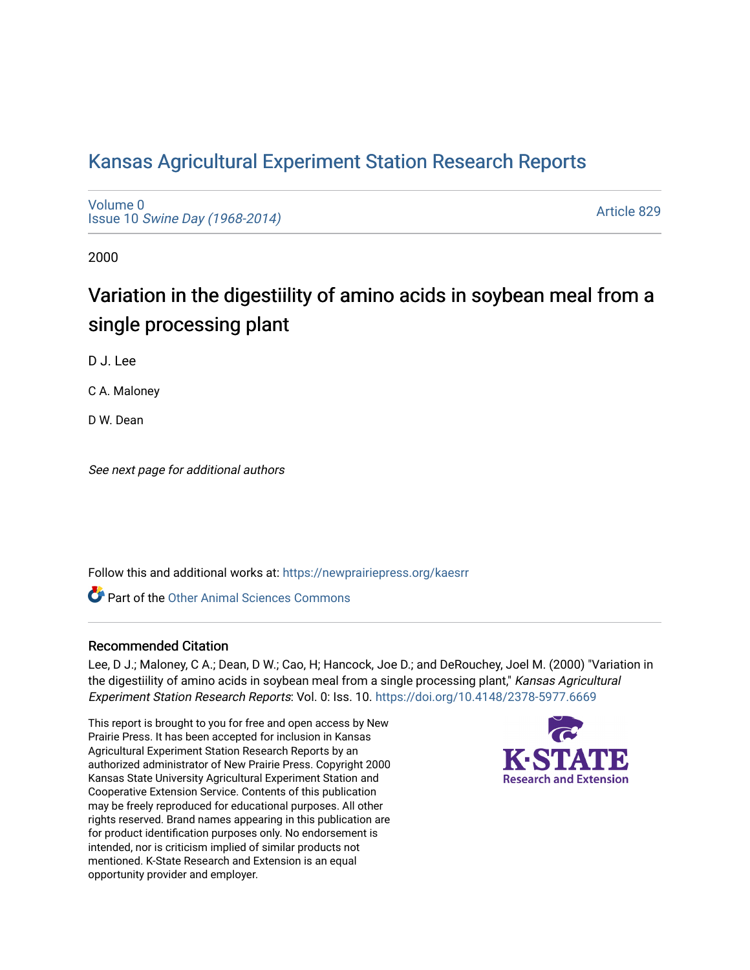## [Kansas Agricultural Experiment Station Research Reports](https://newprairiepress.org/kaesrr)

[Volume 0](https://newprairiepress.org/kaesrr/vol0) Issue 10 [Swine Day \(1968-2014\)](https://newprairiepress.org/kaesrr/vol0/iss10)

[Article 829](https://newprairiepress.org/kaesrr/vol0/iss10/829) 

2000

# Variation in the digestiility of amino acids in soybean meal from a single processing plant

D J. Lee

C A. Maloney

D W. Dean

See next page for additional authors

Follow this and additional works at: [https://newprairiepress.org/kaesrr](https://newprairiepress.org/kaesrr?utm_source=newprairiepress.org%2Fkaesrr%2Fvol0%2Fiss10%2F829&utm_medium=PDF&utm_campaign=PDFCoverPages) 

**C** Part of the [Other Animal Sciences Commons](http://network.bepress.com/hgg/discipline/82?utm_source=newprairiepress.org%2Fkaesrr%2Fvol0%2Fiss10%2F829&utm_medium=PDF&utm_campaign=PDFCoverPages)

#### Recommended Citation

Lee, D J.; Maloney, C A.; Dean, D W.; Cao, H; Hancock, Joe D.; and DeRouchey, Joel M. (2000) "Variation in the digestiility of amino acids in soybean meal from a single processing plant," Kansas Agricultural Experiment Station Research Reports: Vol. 0: Iss. 10. <https://doi.org/10.4148/2378-5977.6669>

This report is brought to you for free and open access by New Prairie Press. It has been accepted for inclusion in Kansas Agricultural Experiment Station Research Reports by an authorized administrator of New Prairie Press. Copyright 2000 Kansas State University Agricultural Experiment Station and Cooperative Extension Service. Contents of this publication may be freely reproduced for educational purposes. All other rights reserved. Brand names appearing in this publication are for product identification purposes only. No endorsement is intended, nor is criticism implied of similar products not mentioned. K-State Research and Extension is an equal opportunity provider and employer.

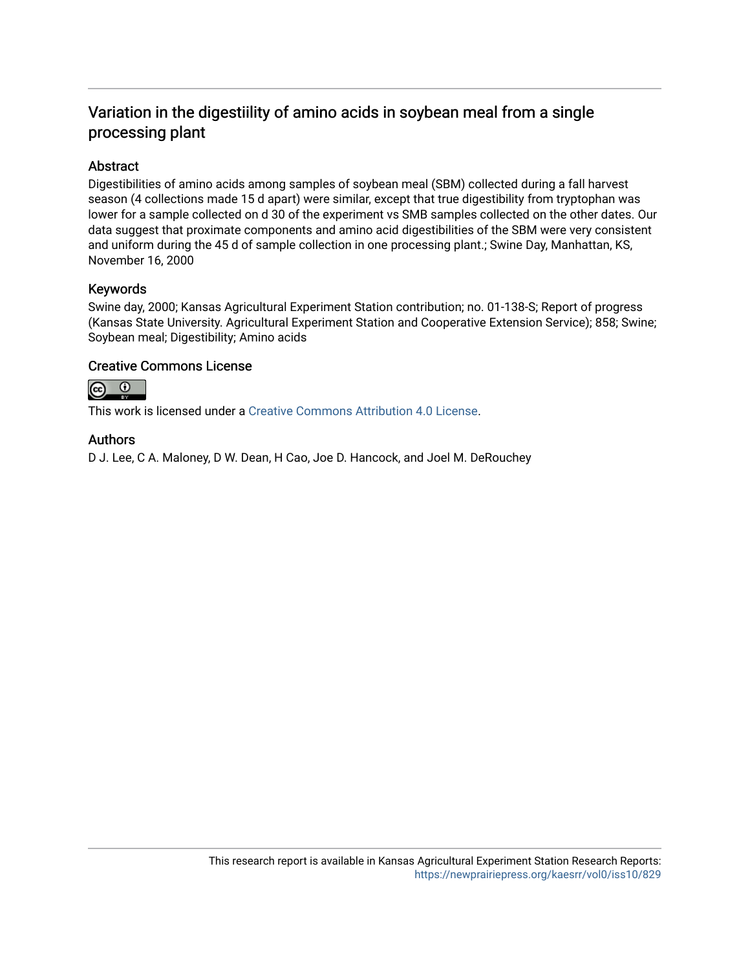### Variation in the digestiility of amino acids in soybean meal from a single processing plant

#### Abstract

Digestibilities of amino acids among samples of soybean meal (SBM) collected during a fall harvest season (4 collections made 15 d apart) were similar, except that true digestibility from tryptophan was lower for a sample collected on d 30 of the experiment vs SMB samples collected on the other dates. Our data suggest that proximate components and amino acid digestibilities of the SBM were very consistent and uniform during the 45 d of sample collection in one processing plant.; Swine Day, Manhattan, KS, November 16, 2000

#### Keywords

Swine day, 2000; Kansas Agricultural Experiment Station contribution; no. 01-138-S; Report of progress (Kansas State University. Agricultural Experiment Station and Cooperative Extension Service); 858; Swine; Soybean meal; Digestibility; Amino acids

#### Creative Commons License



This work is licensed under a [Creative Commons Attribution 4.0 License](https://creativecommons.org/licenses/by/4.0/).

#### Authors

D J. Lee, C A. Maloney, D W. Dean, H Cao, Joe D. Hancock, and Joel M. DeRouchey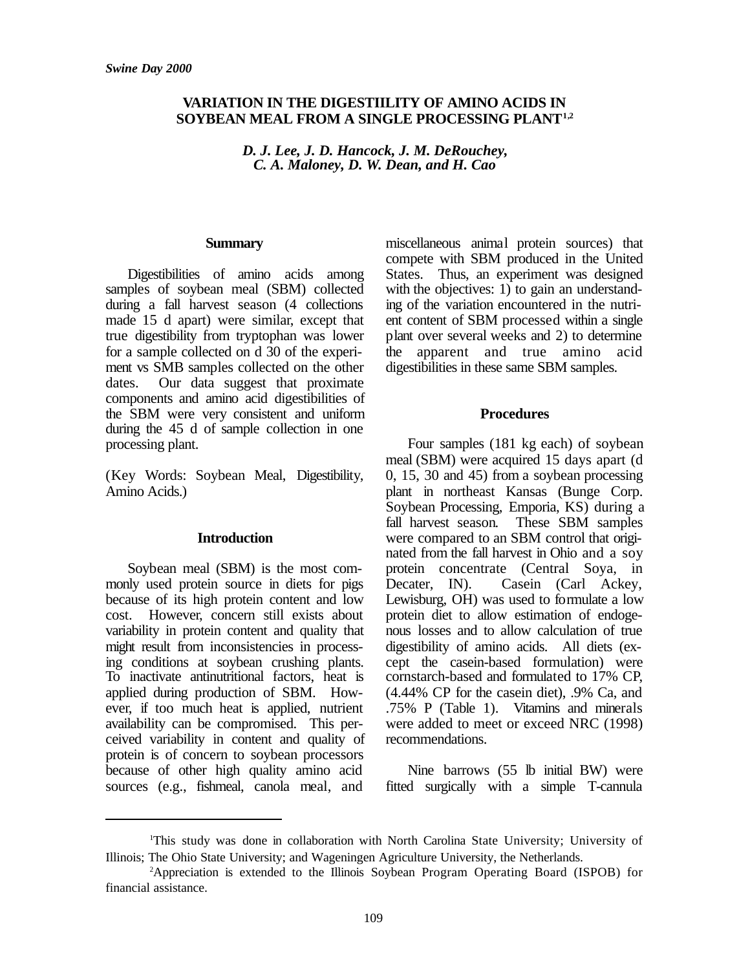#### **VARIATION IN THE DIGESTIILITY OF AMINO ACIDS IN SOYBEAN MEAL FROM A SINGLE PROCESSING PLANT1,2**

*D. J. Lee, J. D. Hancock, J. M. DeRouchey, C. A. Maloney, D. W. Dean, and H. Cao*

#### **Summary**

Digestibilities of amino acids among samples of soybean meal (SBM) collected during a fall harvest season (4 collections made 15 d apart) were similar, except that true digestibility from tryptophan was lower for a sample collected on d 30 of the experiment vs SMB samples collected on the other dates. Our data suggest that proximate components and amino acid digestibilities of the SBM were very consistent and uniform during the 45 d of sample collection in one processing plant.

(Key Words: Soybean Meal, Digestibility, Amino Acids.)

#### **Introduction**

Soybean meal (SBM) is the most commonly used protein source in diets for pigs because of its high protein content and low cost. However, concern still exists about variability in protein content and quality that might result from inconsistencies in processing conditions at soybean crushing plants. To inactivate antinutritional factors, heat is applied during production of SBM. However, if too much heat is applied, nutrient availability can be compromised. This perceived variability in content and quality of protein is of concern to soybean processors because of other high quality amino acid sources (e.g., fishmeal, canola meal, and miscellaneous animal protein sources) that compete with SBM produced in the United States. Thus, an experiment was designed with the objectives:  $1)$  to gain an understanding of the variation encountered in the nutrient content of SBM processed within a single plant over several weeks and 2) to determine the apparent and true amino acid digestibilities in these same SBM samples.

#### **Procedures**

Four samples (181 kg each) of soybean meal (SBM) were acquired 15 days apart (d 0, 15, 30 and 45) from a soybean processing plant in northeast Kansas (Bunge Corp. Soybean Processing, Emporia, KS) during a fall harvest season. These SBM samples were compared to an SBM control that originated from the fall harvest in Ohio and a soy protein concentrate (Central Soya, in Decater, IN). Casein (Carl Ackey, Lewisburg, OH) was used to formulate a low protein diet to allow estimation of endogenous losses and to allow calculation of true digestibility of amino acids. All diets (except the casein-based formulation) were cornstarch-based and formulated to 17% CP, (4.44% CP for the casein diet), .9% Ca, and .75% P (Table 1). Vitamins and minerals were added to meet or exceed NRC (1998) recommendations.

Nine barrows (55 lb initial BW) were fitted surgically with a simple T-cannula

<sup>1</sup>This study was done in collaboration with North Carolina State University; University of Illinois; The Ohio State University; and Wageningen Agriculture University, the Netherlands.

<sup>2</sup>Appreciation is extended to the Illinois Soybean Program Operating Board (ISPOB) for financial assistance.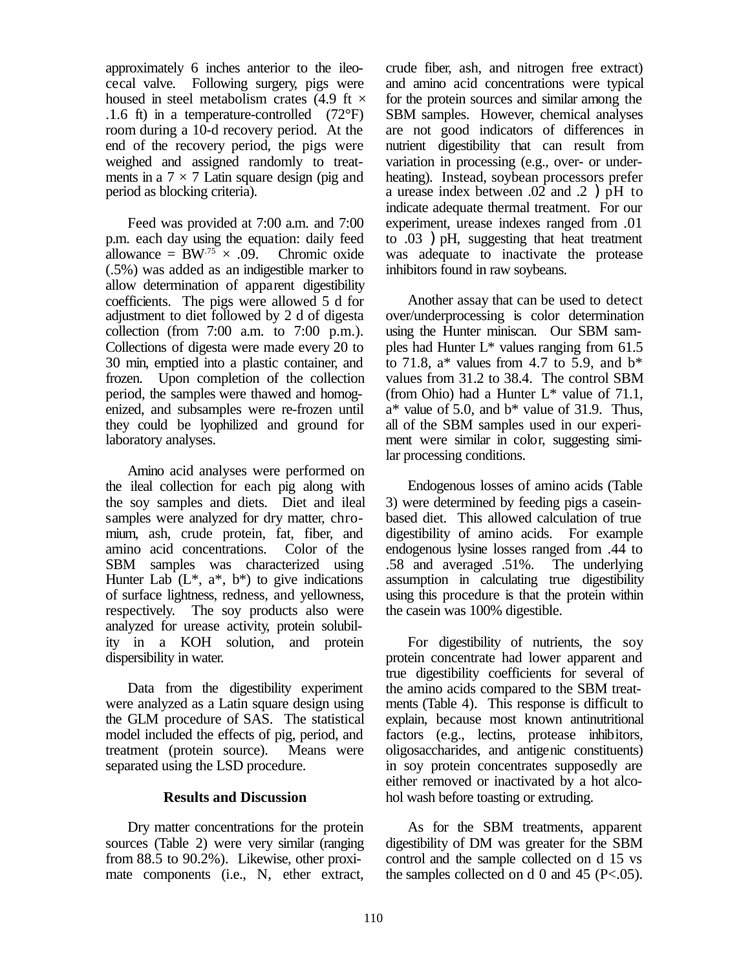approximately 6 inches anterior to the ileocecal valve. Following surgery, pigs were housed in steel metabolism crates (4.9 ft  $\times$ .1.6 ft) in a temperature-controlled  $(72^{\circ}F)$ room during a 10-d recovery period. At the end of the recovery period, the pigs were weighed and assigned randomly to treatments in a  $7 \times 7$  Latin square design (pig and period as blocking criteria).

Feed was provided at 7:00 a.m. and 7:00 p.m. each day using the equation: daily feed allowance =  $BW^{.75} \times .09$ . Chromic oxide (.5%) was added as an indigestible marker to allow determination of apparent digestibility coefficients. The pigs were allowed 5 d for adjustment to diet followed by 2 d of digesta collection (from  $7:00$  a.m. to  $7:00$  p.m.). Collections of digesta were made every 20 to 30 min, emptied into a plastic container, and frozen. Upon completion of the collection period, the samples were thawed and homogenized, and subsamples were re-frozen until they could be lyophilized and ground for laboratory analyses.

Amino acid analyses were performed on the ileal collection for each pig along with the soy samples and diets. Diet and ileal samples were analyzed for dry matter, chromium, ash, crude protein, fat, fiber, and amino acid concentrations. Color of the SBM samples was characterized using Hunter Lab  $(L^*, a^*, b^*)$  to give indications of surface lightness, redness, and yellowness, respectively. The soy products also were analyzed for urease activity, protein solubility in a KOH solution, and protein dispersibility in water.

Data from the digestibility experiment were analyzed as a Latin square design using the GLM procedure of SAS. The statistical model included the effects of pig, period, and treatment (protein source). Means were separated using the LSD procedure.

#### **Results and Discussion**

Dry matter concentrations for the protein sources (Table 2) were very similar (ranging from 88.5 to 90.2%). Likewise, other proximate components (i.e., N, ether extract,

crude fiber, ash, and nitrogen free extract) and amino acid concentrations were typical for the protein sources and similar among the SBM samples. However, chemical analyses are not good indicators of differences in nutrient digestibility that can result from variation in processing (e.g., over- or underheating). Instead, soybean processors prefer a urease index between .02 and .2 )pH to indicate adequate thermal treatment. For our experiment, urease indexes ranged from .01 to .03 )pH, suggesting that heat treatment was adequate to inactivate the protease inhibitors found in raw soybeans.

Another assay that can be used to detect over/underprocessing is color determination using the Hunter miniscan. Our SBM samples had Hunter L\* values ranging from 61.5 to 71.8,  $a^*$  values from 4.7 to 5.9, and  $b^*$ values from 31.2 to 38.4. The control SBM (from Ohio) had a Hunter  $L^*$  value of 71.1,  $a^*$  value of 5.0, and  $b^*$  value of 31.9. Thus, all of the SBM samples used in our experiment were similar in color, suggesting similar processing conditions.

Endogenous losses of amino acids (Table 3) were determined by feeding pigs a caseinbased diet. This allowed calculation of true digestibility of amino acids. For example endogenous lysine losses ranged from .44 to .58 and averaged .51%. The underlying assumption in calculating true digestibility using this procedure is that the protein within the casein was 100% digestible.

For digestibility of nutrients, the soy protein concentrate had lower apparent and true digestibility coefficients for several of the amino acids compared to the SBM treatments (Table 4). This response is difficult to explain, because most known antinutritional factors (e.g., lectins, protease inhibitors, oligosaccharides, and antigenic constituents) in soy protein concentrates supposedly are either removed or inactivated by a hot alcohol wash before toasting or extruding.

As for the SBM treatments, apparent digestibility of DM was greater for the SBM control and the sample collected on d 15 vs the samples collected on d 0 and 45 ( $P < .05$ ).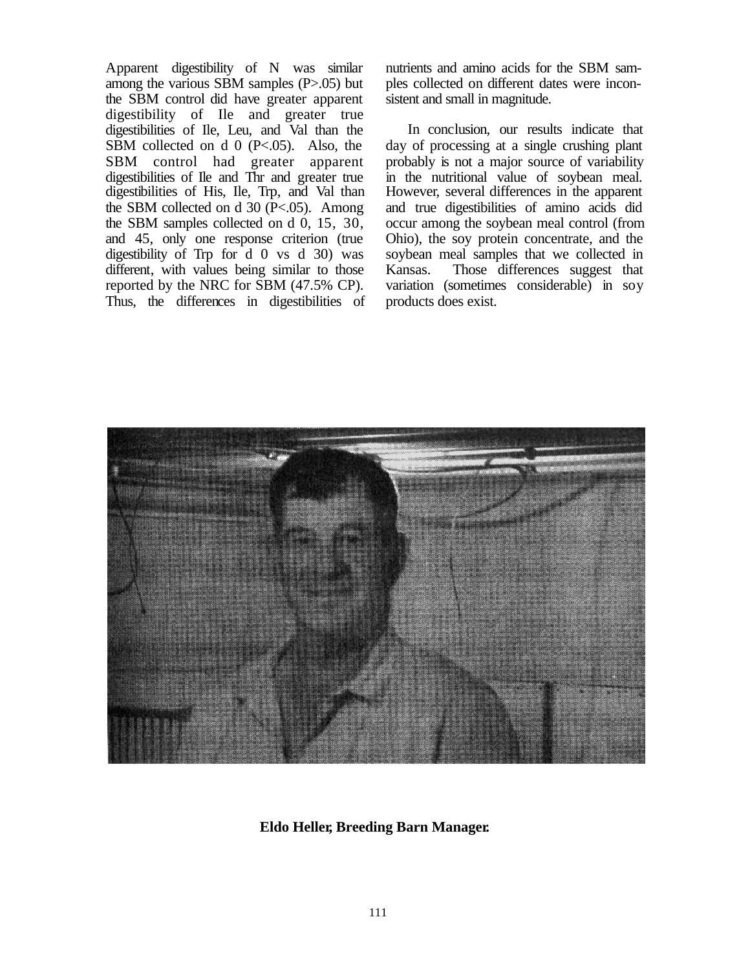Apparent digestibility of N was similar among the various SBM samples (P>.05) but the SBM control did have greater apparent digestibility of Ile and greater true digestibilities of Ile, Leu, and Val than the SBM collected on d 0 (P<.05). Also, the SBM control had greater apparent digestibilities of Ile and Thr and greater true digestibilities of His, Ile, Trp, and Val than the SBM collected on d  $30$  (P<.05). Among the SBM samples collected on d 0, 15, 30, and 45, only one response criterion (true digestibility of Trp for d 0 vs d 30) was different, with values being similar to those reported by the NRC for SBM (47.5% CP). Thus, the differences in digestibilities of nutrients and amino acids for the SBM samples collected on different dates were inconsistent and small in magnitude.

In conclusion, our results indicate that day of processing at a single crushing plant probably is not a major source of variability in the nutritional value of soybean meal. However, several differences in the apparent and true digestibilities of amino acids did occur among the soybean meal control (from Ohio), the soy protein concentrate, and the soybean meal samples that we collected in Kansas. Those differences suggest that variation (sometimes considerable) in soy products does exist.



#### **Eldo Heller, Breeding Barn Manager.**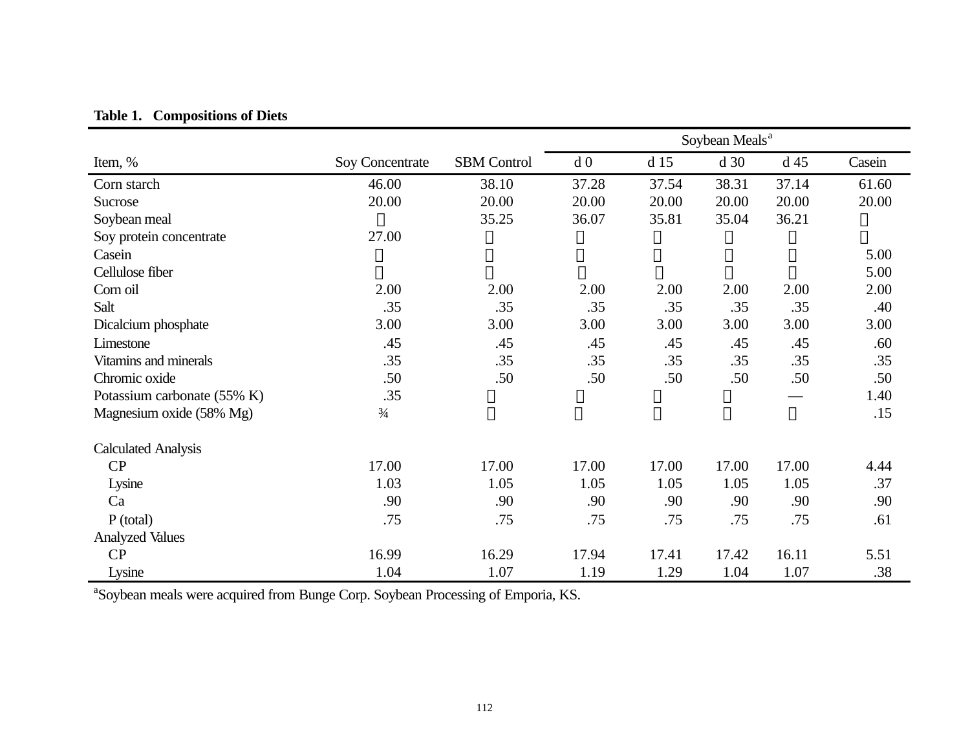|                             |                        |                    | Soybean Meals <sup>a</sup> |                 |       |                 |        |
|-----------------------------|------------------------|--------------------|----------------------------|-----------------|-------|-----------------|--------|
| Item, %                     | <b>Soy Concentrate</b> | <b>SBM</b> Control | d <sub>0</sub>             | d <sub>15</sub> | d 30  | d <sub>45</sub> | Casein |
| Corn starch                 | 46.00                  | 38.10              | 37.28                      | 37.54           | 38.31 | 37.14           | 61.60  |
| Sucrose                     | 20.00                  | 20.00              | 20.00                      | 20.00           | 20.00 | 20.00           | 20.00  |
| Soybean meal                |                        | 35.25              | 36.07                      | 35.81           | 35.04 | 36.21           |        |
| Soy protein concentrate     | 27.00                  |                    |                            |                 |       |                 |        |
| Casein                      |                        |                    |                            |                 |       |                 | 5.00   |
| Cellulose fiber             |                        |                    |                            |                 |       |                 | 5.00   |
| Corn oil                    | 2.00                   | 2.00               | 2.00                       | 2.00            | 2.00  | 2.00            | 2.00   |
| Salt                        | .35                    | .35                | .35                        | .35             | .35   | .35             | .40    |
| Dicalcium phosphate         | 3.00                   | 3.00               | 3.00                       | 3.00            | 3.00  | 3.00            | 3.00   |
| Limestone                   | .45                    | .45                | .45                        | .45             | .45   | .45             | .60    |
| Vitamins and minerals       | .35                    | .35                | .35                        | .35             | .35   | .35             | .35    |
| Chromic oxide               | .50                    | .50                | .50                        | .50             | .50   | .50             | .50    |
| Potassium carbonate (55% K) | .35                    |                    |                            |                 |       |                 | 1.40   |
| Magnesium oxide (58% Mg)    | $\frac{3}{4}$          |                    |                            |                 |       |                 | .15    |
| <b>Calculated Analysis</b>  |                        |                    |                            |                 |       |                 |        |
| CP                          | 17.00                  | 17.00              | 17.00                      | 17.00           | 17.00 | 17.00           | 4.44   |
| Lysine                      | 1.03                   | 1.05               | 1.05                       | 1.05            | 1.05  | 1.05            | .37    |
| Ca                          | .90                    | .90                | .90                        | .90             | .90   | .90             | .90    |
| P (total)                   | .75                    | .75                | .75                        | .75             | .75   | .75             | .61    |
| <b>Analyzed Values</b>      |                        |                    |                            |                 |       |                 |        |
| CP                          | 16.99                  | 16.29              | 17.94                      | 17.41           | 17.42 | 16.11           | 5.51   |
| Lysine                      | 1.04                   | 1.07               | 1.19                       | 1.29            | 1.04  | 1.07            | .38    |

**Table 1. Compositions of Diets**

<sup>a</sup>Soybean meals were acquired from Bunge Corp. Soybean Processing of Emporia, KS.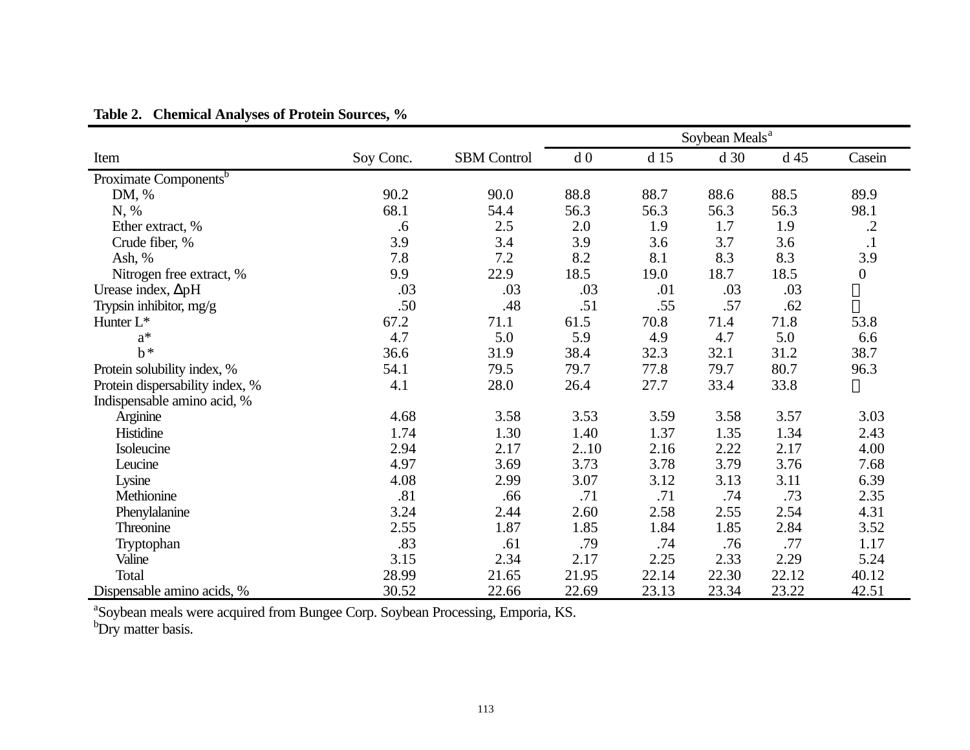|                                   |           |                    | Soybean Meals <sup>a</sup> |       |                 |                 |                  |
|-----------------------------------|-----------|--------------------|----------------------------|-------|-----------------|-----------------|------------------|
| Item                              | Soy Conc. | <b>SBM</b> Control | d <sub>0</sub>             | d 15  | d <sub>30</sub> | d <sub>45</sub> | Casein           |
| Proximate Components <sup>b</sup> |           |                    |                            |       |                 |                 |                  |
| DM, %                             | 90.2      | 90.0               | 88.8                       | 88.7  | 88.6            | 88.5            | 89.9             |
| N, %                              | 68.1      | 54.4               | 56.3                       | 56.3  | 56.3            | 56.3            | 98.1             |
| Ether extract, %                  | .6        | $2.5$              | 2.0                        | 1.9   | 1.7             | 1.9             | $\cdot$          |
| Crude fiber, %                    | 3.9       | 3.4                | 3.9                        | 3.6   | 3.7             | 3.6             | $\cdot$ 1        |
| Ash, $%$                          | 7.8       | 7.2                | 8.2                        | 8.1   | 8.3             | 8.3             | 3.9              |
| Nitrogen free extract, %          | 9.9       | 22.9               | 18.5                       | 19.0  | 18.7            | 18.5            | $\boldsymbol{0}$ |
| Urease index, $\Delta pH$         | .03       | .03                | .03                        | .01   | .03             | .03             |                  |
| Trypsin inhibitor, mg/g           | .50       | .48                | .51                        | .55   | .57             | .62             |                  |
| Hunter L <sup>*</sup>             | 67.2      | 71.1               | 61.5                       | 70.8  | 71.4            | 71.8            | 53.8             |
| $a^*$                             | 4.7       | 5.0                | 5.9                        | 4.9   | 4.7             | 5.0             | 6.6              |
| $b^*$                             | 36.6      | 31.9               | 38.4                       | 32.3  | 32.1            | 31.2            | 38.7             |
| Protein solubility index, %       | 54.1      | 79.5               | 79.7                       | 77.8  | 79.7            | 80.7            | 96.3             |
| Protein dispersability index, %   | 4.1       | 28.0               | 26.4                       | 27.7  | 33.4            | 33.8            |                  |
| Indispensable amino acid, %       |           |                    |                            |       |                 |                 |                  |
| Arginine                          | 4.68      | 3.58               | 3.53                       | 3.59  | 3.58            | 3.57            | 3.03             |
| Histidine                         | 1.74      | 1.30               | 1.40                       | 1.37  | 1.35            | 1.34            | 2.43             |
| Isoleucine                        | 2.94      | 2.17               | 210                        | 2.16  | 2.22            | 2.17            | 4.00             |
| Leucine                           | 4.97      | 3.69               | 3.73                       | 3.78  | 3.79            | 3.76            | 7.68             |
| Lysine                            | 4.08      | 2.99               | 3.07                       | 3.12  | 3.13            | 3.11            | 6.39             |
| Methionine                        | .81       | .66                | .71                        | .71   | .74             | .73             | 2.35             |
| Phenylalanine                     | 3.24      | 2.44               | 2.60                       | 2.58  | 2.55            | 2.54            | 4.31             |
| Threonine                         | 2.55      | 1.87               | 1.85                       | 1.84  | 1.85            | 2.84            | 3.52             |
| Tryptophan                        | .83       | .61                | .79                        | .74   | .76             | .77             | 1.17             |
| Valine                            | 3.15      | 2.34               | 2.17                       | 2.25  | 2.33            | 2.29            | 5.24             |
| Total                             | 28.99     | 21.65              | 21.95                      | 22.14 | 22.30           | 22.12           | 40.12            |
| Dispensable amino acids, %        | 30.52     | 22.66              | 22.69                      | 23.13 | 23.34           | 23.22           | 42.51            |

## **Table 2. Chemical Analyses of Protein Sources, %**

<sup>a</sup>Soybean meals were acquired from Bungee Corp. Soybean Processing, Emporia, KS.

b<sub>Dry</sub> matter basis.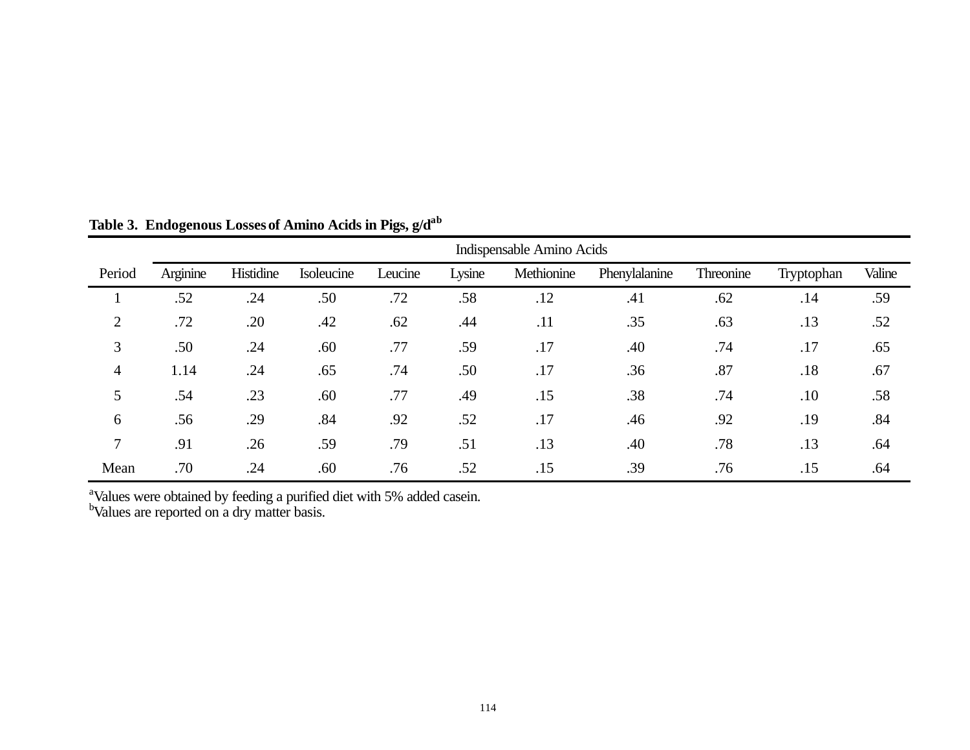|                | Indispensable Amino Acids |           |            |         |        |            |               |           |            |        |
|----------------|---------------------------|-----------|------------|---------|--------|------------|---------------|-----------|------------|--------|
| Period         | Arginine                  | Histidine | Isoleucine | Leucine | Lysine | Methionine | Phenylalanine | Threonine | Tryptophan | Valine |
|                | .52                       | .24       | .50        | .72     | .58    | .12        | .41           | .62       | .14        | .59    |
| $\overline{2}$ | .72                       | .20       | .42        | .62     | .44    | .11        | .35           | .63       | .13        | .52    |
| 3              | .50                       | .24       | .60        | .77     | .59    | .17        | .40           | .74       | .17        | .65    |
| 4              | 1.14                      | .24       | .65        | .74     | .50    | .17        | .36           | .87       | .18        | .67    |
| 5              | .54                       | .23       | .60        | .77     | .49    | .15        | .38           | .74       | .10        | .58    |
| 6              | .56                       | .29       | .84        | .92     | .52    | .17        | .46           | .92       | .19        | .84    |
| 7              | .91                       | .26       | .59        | .79     | .51    | .13        | .40           | .78       | .13        | .64    |
| Mean           | .70                       | .24       | .60        | .76     | .52    | .15        | .39           | .76       | .15        | .64    |

**Table 3. Endogenous Lossesof Amino Acids in Pigs, g/dab**

<sup>a</sup>Values were obtained by feeding a purified diet with 5% added casein.

<sup>b</sup>Values are reported on a dry matter basis.